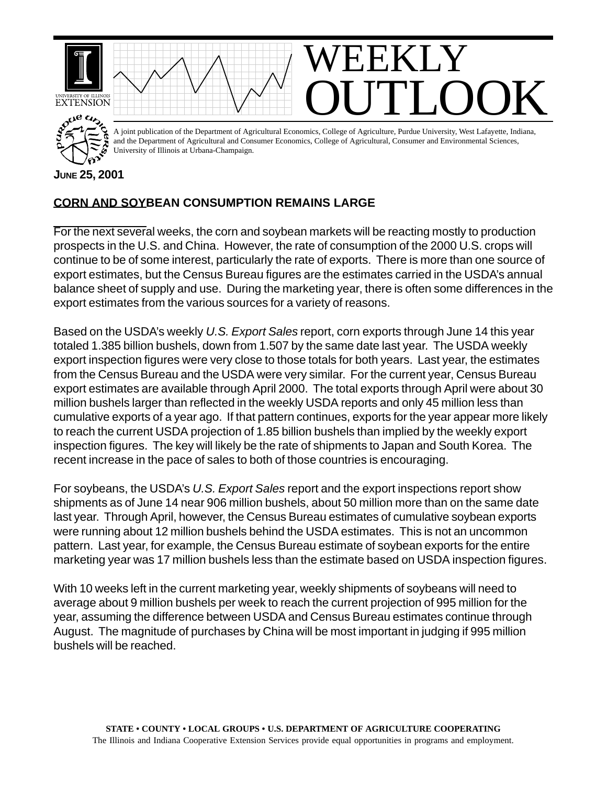

## **CORN AND SOYBEAN CONSUMPTION REMAINS LARGE**

For the next several weeks, the corn and soybean markets will be reacting mostly to production prospects in the U.S. and China. However, the rate of consumption of the 2000 U.S. crops will continue to be of some interest, particularly the rate of exports. There is more than one source of export estimates, but the Census Bureau figures are the estimates carried in the USDA's annual balance sheet of supply and use. During the marketing year, there is often some differences in the export estimates from the various sources for a variety of reasons.

Based on the USDA's weekly *U.S. Export Sales* report, corn exports through June 14 this year totaled 1.385 billion bushels, down from 1.507 by the same date last year. The USDA weekly export inspection figures were very close to those totals for both years. Last year, the estimates from the Census Bureau and the USDA were very similar. For the current year, Census Bureau export estimates are available through April 2000. The total exports through April were about 30 million bushels larger than reflected in the weekly USDA reports and only 45 million less than cumulative exports of a year ago. If that pattern continues, exports for the year appear more likely to reach the current USDA projection of 1.85 billion bushels than implied by the weekly export inspection figures. The key will likely be the rate of shipments to Japan and South Korea. The recent increase in the pace of sales to both of those countries is encouraging.

For soybeans, the USDA's *U.S. Export Sales* report and the export inspections report show shipments as of June 14 near 906 million bushels, about 50 million more than on the same date last year. Through April, however, the Census Bureau estimates of cumulative soybean exports were running about 12 million bushels behind the USDA estimates. This is not an uncommon pattern. Last year, for example, the Census Bureau estimate of soybean exports for the entire marketing year was 17 million bushels less than the estimate based on USDA inspection figures.

With 10 weeks left in the current marketing year, weekly shipments of soybeans will need to average about 9 million bushels per week to reach the current projection of 995 million for the year, assuming the difference between USDA and Census Bureau estimates continue through August. The magnitude of purchases by China will be most important in judging if 995 million bushels will be reached.